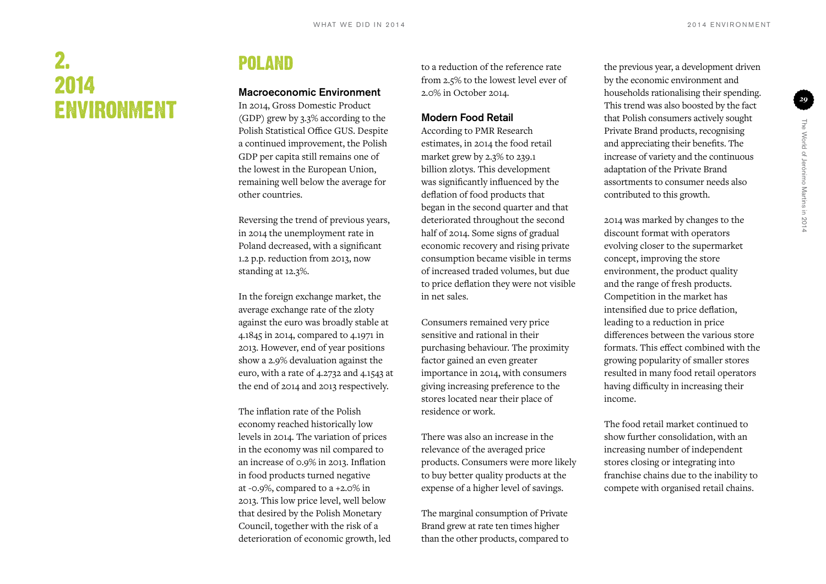# 2. 2014 Environment

## **POLAND**

#### Macroeconomic Environment

In 2014, Gross Domestic Product (GDP) grew by 3.3% according to the Polish Statistical Office GUS. Despite a continued improvement, the Polish GDP per capita still remains one of the lowest in the European Union, remaining well below the average for other countries.

Reversing the trend of previous years, in 2014 the unemployment rate in Poland decreased, with a significant 1.2 p.p. reduction from 2013, now standing at 12.3%.

In the foreign exchange market, the average exchange rate of the zloty against the euro was broadly stable at 4.1845 in 2014, compared to 4.1971 in 2013. However, end of year positions show a 2.9% devaluation against the euro, with a rate of 4.2732 and 4.1543 at the end of 2014 and 2013 respectively.

The inflation rate of the Polish economy reached historically low levels in 2014. The variation of prices in the economy was nil compared to an increase of 0.9% in 2013. Inflation in food products turned negative at -0.9%, compared to a +2.0% in 2013. This low price level, well below that desired by the Polish Monetary Council, together with the risk of a deterioration of economic growth, led to a reduction of the reference rate from 2.5% to the lowest level ever of 2.0% in October 2014.

#### Modern Food Retail

According to PMR Research estimates, in 2014 the food retail market grew by 2.3% to 239.1 billion zlotys. This development was significantly influenced by the deflation of food products that began in the second quarter and that deteriorated throughout the second half of 2014. Some signs of gradual economic recovery and rising private consumption became visible in terms of increased traded volumes, but due to price deflation they were not visible in net sales.

Consumers remained very price sensitive and rational in their purchasing behaviour. The proximity factor gained an even greater importance in 2014, with consumers giving increasing preference to the stores located near their place of residence or work.

There was also an increase in the relevance of the averaged price products. Consumers were more likely to buy better quality products at the expense of a higher level of savings.

The marginal consumption of Private Brand grew at rate ten times higher than the other products, compared to

the previous year, a development driven by the economic environment and households rationalising their spending. This trend was also boosted by the fact that Polish consumers actively sought Private Brand products, recognising and appreciating their benefits. The increase of variety and the continuous adaptation of the Private Brand assortments to consumer needs also contributed to this growth.

2014 was marked by changes to the discount format with operators evolving closer to the supermarket concept, improving the store environment, the product quality and the range of fresh products. Competition in the market has intensified due to price deflation, leading to a reduction in price differences between the various store formats. This effect combined with the growing popularity of smaller stores resulted in many food retail operators having difficulty in increasing their income.

The food retail market continued to show further consolidation, with an increasing number of independent stores closing or integrating into franchise chains due to the inability to compete with organised retail chains.

*29*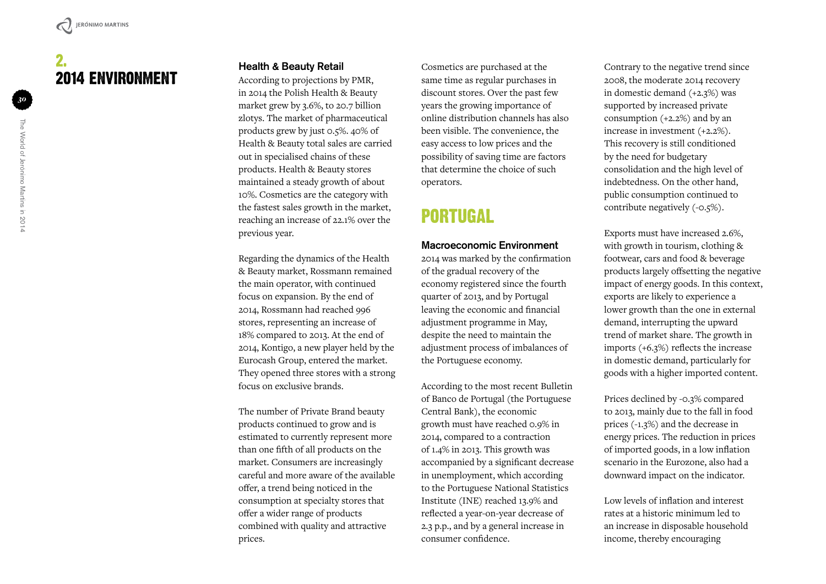### 2. 2014 Environment

#### Health & Beauty Retail

According to projections by PMR, in 2014 the Polish Health & Beauty market grew by 3.6%, to 20.7 billion zlotys. The market of pharmaceutical products grew by just 0.5%. 40% of Health & Beauty total sales are carried out in specialised chains of these products. Health & Beauty stores maintained a steady growth of about 10%. Cosmetics are the category with the fastest sales growth in the market, reaching an increase of 22.1% over the previous year.

Regarding the dynamics of the Health & Beauty market, Rossmann remained the main operator, with continued focus on expansion. By the end of 2014, Rossmann had reached 996 stores, representing an increase of 18% compared to 2013. At the end of 2014, Kontigo, a new player held by the Eurocash Group, entered the market. They opened three stores with a strong focus on exclusive brands.

The number of Private Brand beauty products continued to grow and is estimated to currently represent more than one fifth of all products on the market. Consumers are increasingly careful and more aware of the available offer, a trend being noticed in the consumption at specialty stores that offer a wider range of products combined with quality and attractive prices.

Cosmetics are purchased at the same time as regular purchases in discount stores. Over the past few years the growing importance of online distribution channels has also been visible. The convenience, the easy access to low prices and the possibility of saving time are factors that determine the choice of such operators.

### Portuga l

#### Macroeconomic Environment

2014 was marked by the confirmation of the gradual recovery of the economy registered since the fourth quarter of 2013, and by Portugal leaving the economic and financial adjustment programme in May, despite the need to maintain the adjustment process of imbalances of the Portuguese economy.

According to the most recent Bulletin of Banco de Portugal (the Portuguese Central Bank), the economic growth must have reached 0.9% in 2014, compared to a contraction of 1.4% in 2013. This growth was accompanied by a significant decrease in unemployment, which according to the Portuguese National Statistics Institute (INE) reached 13.9% and reflected a year-on-year decrease of 2.3 p.p., and by a general increase in consumer confidence.

Contrary to the negative trend since 2008, the moderate 2014 recovery in domestic demand (+2.3%) was supported by increased private consumption (+2.2%) and by an increase in investment (+2.2%). This recovery is still conditioned by the need for budgetary consolidation and the high level of indebtedness. On the other hand, public consumption continued to contribute negatively (-0.5%).

Exports must have increased 2.6%, with growth in tourism, clothing & footwear, cars and food & beverage products largely offsetting the negative impact of energy goods. In this context, exports are likely to experience a lower growth than the one in external demand, interrupting the upward trend of market share. The growth in imports (+6.3%) reflects the increase in domestic demand, particularly for goods with a higher imported content.

Prices declined by -0.3% compared to 2013, mainly due to the fall in food prices (-1.3%) and the decrease in energy prices. The reduction in prices of imported goods, in a low inflation scenario in the Eurozone, also had a downward impact on the indicator.

Low levels of inflation and interest rates at a historic minimum led to an increase in disposable household income, thereby encouraging

*30*